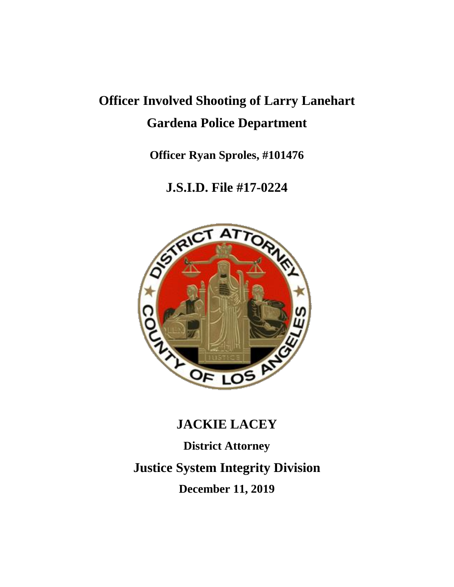## **Officer Involved Shooting of Larry Lanehart Gardena Police Department**

**Officer Ryan Sproles, #101476**

### **J.S.I.D. File #17-0224**



# **JACKIE LACEY District Attorney Justice System Integrity Division December 11, 2019**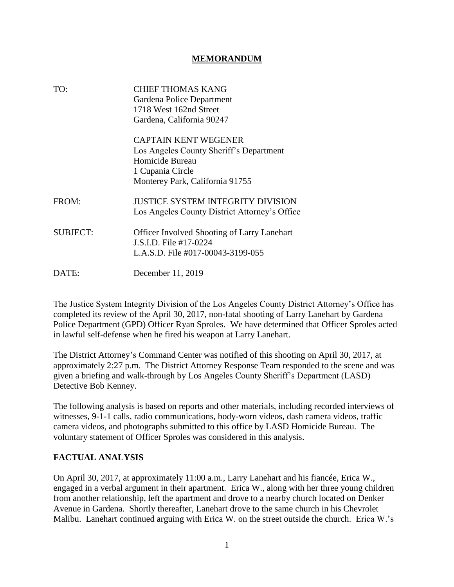#### **MEMORANDUM**

| TO:             | <b>CHIEF THOMAS KANG</b><br>Gardena Police Department<br>1718 West 162nd Street<br>Gardena, California 90247                                     |
|-----------------|--------------------------------------------------------------------------------------------------------------------------------------------------|
|                 | <b>CAPTAIN KENT WEGENER</b><br>Los Angeles County Sheriff's Department<br>Homicide Bureau<br>1 Cupania Circle<br>Monterey Park, California 91755 |
| FROM:           | <b>JUSTICE SYSTEM INTEGRITY DIVISION</b><br>Los Angeles County District Attorney's Office                                                        |
| <b>SUBJECT:</b> | <b>Officer Involved Shooting of Larry Lanehart</b><br>J.S.I.D. File #17-0224<br>L.A.S.D. File #017-00043-3199-055                                |
| DATE:           | December 11, 2019                                                                                                                                |

The Justice System Integrity Division of the Los Angeles County District Attorney's Office has completed its review of the April 30, 2017, non-fatal shooting of Larry Lanehart by Gardena Police Department (GPD) Officer Ryan Sproles. We have determined that Officer Sproles acted in lawful self-defense when he fired his weapon at Larry Lanehart.

The District Attorney's Command Center was notified of this shooting on April 30, 2017, at approximately 2:27 p.m. The District Attorney Response Team responded to the scene and was given a briefing and walk-through by Los Angeles County Sheriff's Department (LASD) Detective Bob Kenney.

The following analysis is based on reports and other materials, including recorded interviews of witnesses, 9-1-1 calls, radio communications, body-worn videos, dash camera videos, traffic camera videos, and photographs submitted to this office by LASD Homicide Bureau. The voluntary statement of Officer Sproles was considered in this analysis.

#### **FACTUAL ANALYSIS**

On April 30, 2017, at approximately 11:00 a.m., Larry Lanehart and his fiancée, Erica W., engaged in a verbal argument in their apartment. Erica W., along with her three young children from another relationship, left the apartment and drove to a nearby church located on Denker Avenue in Gardena. Shortly thereafter, Lanehart drove to the same church in his Chevrolet Malibu. Lanehart continued arguing with Erica W. on the street outside the church. Erica W.'s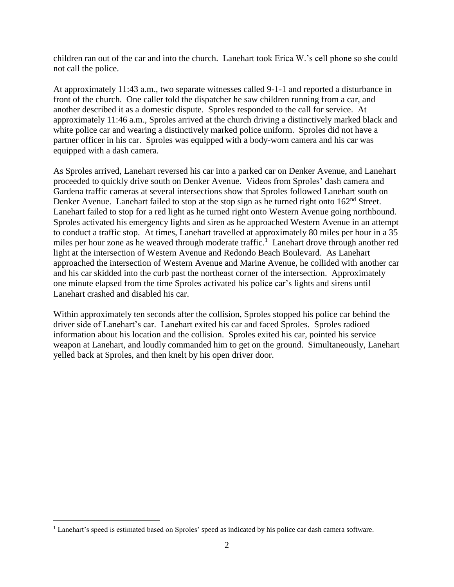children ran out of the car and into the church. Lanehart took Erica W.'s cell phone so she could not call the police.

At approximately 11:43 a.m., two separate witnesses called 9-1-1 and reported a disturbance in front of the church. One caller told the dispatcher he saw children running from a car, and another described it as a domestic dispute. Sproles responded to the call for service. At approximately 11:46 a.m., Sproles arrived at the church driving a distinctively marked black and white police car and wearing a distinctively marked police uniform. Sproles did not have a partner officer in his car. Sproles was equipped with a body-worn camera and his car was equipped with a dash camera.

As Sproles arrived, Lanehart reversed his car into a parked car on Denker Avenue, and Lanehart proceeded to quickly drive south on Denker Avenue. Videos from Sproles' dash camera and Gardena traffic cameras at several intersections show that Sproles followed Lanehart south on Denker Avenue. Lanehart failed to stop at the stop sign as he turned right onto  $162<sup>nd</sup>$  Street. Lanehart failed to stop for a red light as he turned right onto Western Avenue going northbound. Sproles activated his emergency lights and siren as he approached Western Avenue in an attempt to conduct a traffic stop. At times, Lanehart travelled at approximately 80 miles per hour in a 35 miles per hour zone as he weaved through moderate traffic. 1 Lanehart drove through another red light at the intersection of Western Avenue and Redondo Beach Boulevard. As Lanehart approached the intersection of Western Avenue and Marine Avenue, he collided with another car and his car skidded into the curb past the northeast corner of the intersection. Approximately one minute elapsed from the time Sproles activated his police car's lights and sirens until Lanehart crashed and disabled his car.

Within approximately ten seconds after the collision, Sproles stopped his police car behind the driver side of Lanehart's car. Lanehart exited his car and faced Sproles. Sproles radioed information about his location and the collision. Sproles exited his car, pointed his service weapon at Lanehart, and loudly commanded him to get on the ground. Simultaneously, Lanehart yelled back at Sproles, and then knelt by his open driver door.

 $\overline{a}$ 

<sup>1</sup> Lanehart's speed is estimated based on Sproles' speed as indicated by his police car dash camera software.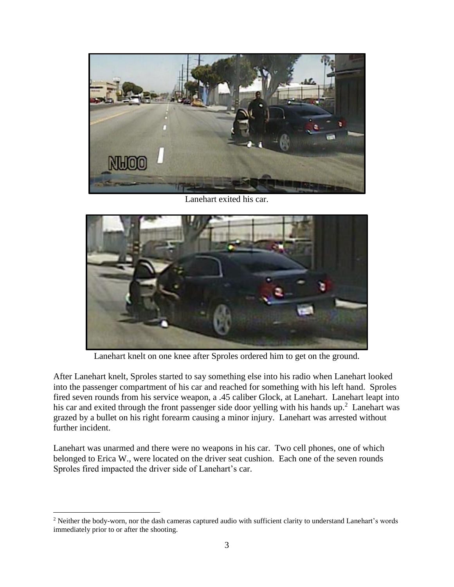

Lanehart exited his car.



Lanehart knelt on one knee after Sproles ordered him to get on the ground.

After Lanehart knelt, Sproles started to say something else into his radio when Lanehart looked into the passenger compartment of his car and reached for something with his left hand. Sproles fired seven rounds from his service weapon, a .45 caliber Glock, at Lanehart. Lanehart leapt into his car and exited through the front passenger side door yelling with his hands  $up.^2$  Lanehart was grazed by a bullet on his right forearm causing a minor injury. Lanehart was arrested without further incident.

Lanehart was unarmed and there were no weapons in his car. Two cell phones, one of which belonged to Erica W., were located on the driver seat cushion. Each one of the seven rounds Sproles fired impacted the driver side of Lanehart's car.

 $\overline{a}$ 

<sup>&</sup>lt;sup>2</sup> Neither the body-worn, nor the dash cameras captured audio with sufficient clarity to understand Lanehart's words immediately prior to or after the shooting.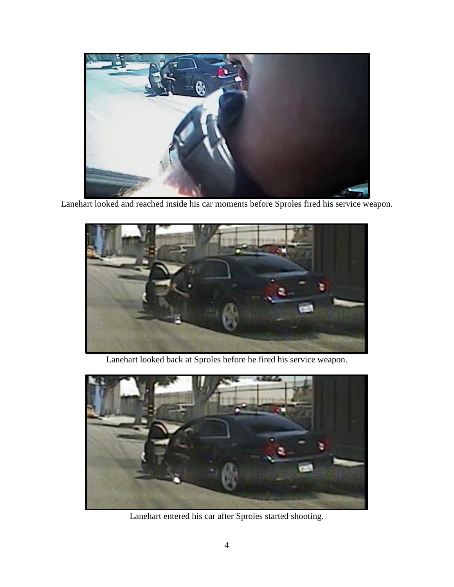

Lanehart looked and reached inside his car moments before Sproles fired his service weapon.



Lanehart looked back at Sproles before he fired his service weapon.



Lanehart entered his car after Sproles started shooting.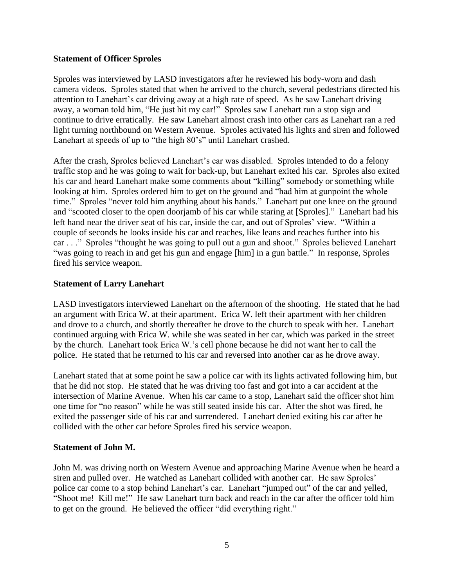#### **Statement of Officer Sproles**

Sproles was interviewed by LASD investigators after he reviewed his body-worn and dash camera videos. Sproles stated that when he arrived to the church, several pedestrians directed his attention to Lanehart's car driving away at a high rate of speed. As he saw Lanehart driving away, a woman told him, "He just hit my car!" Sproles saw Lanehart run a stop sign and continue to drive erratically. He saw Lanehart almost crash into other cars as Lanehart ran a red light turning northbound on Western Avenue. Sproles activated his lights and siren and followed Lanehart at speeds of up to "the high 80's" until Lanehart crashed.

After the crash, Sproles believed Lanehart's car was disabled. Sproles intended to do a felony traffic stop and he was going to wait for back-up, but Lanehart exited his car. Sproles also exited his car and heard Lanehart make some comments about "killing" somebody or something while looking at him. Sproles ordered him to get on the ground and "had him at gunpoint the whole time." Sproles "never told him anything about his hands." Lanehart put one knee on the ground and "scooted closer to the open doorjamb of his car while staring at [Sproles]." Lanehart had his left hand near the driver seat of his car, inside the car, and out of Sproles' view. "Within a couple of seconds he looks inside his car and reaches, like leans and reaches further into his car . . ." Sproles "thought he was going to pull out a gun and shoot." Sproles believed Lanehart "was going to reach in and get his gun and engage [him] in a gun battle." In response, Sproles fired his service weapon.

#### **Statement of Larry Lanehart**

LASD investigators interviewed Lanehart on the afternoon of the shooting. He stated that he had an argument with Erica W. at their apartment. Erica W. left their apartment with her children and drove to a church, and shortly thereafter he drove to the church to speak with her. Lanehart continued arguing with Erica W. while she was seated in her car, which was parked in the street by the church. Lanehart took Erica W.'s cell phone because he did not want her to call the police. He stated that he returned to his car and reversed into another car as he drove away.

Lanehart stated that at some point he saw a police car with its lights activated following him, but that he did not stop. He stated that he was driving too fast and got into a car accident at the intersection of Marine Avenue. When his car came to a stop, Lanehart said the officer shot him one time for "no reason" while he was still seated inside his car. After the shot was fired, he exited the passenger side of his car and surrendered. Lanehart denied exiting his car after he collided with the other car before Sproles fired his service weapon.

#### **Statement of John M.**

John M. was driving north on Western Avenue and approaching Marine Avenue when he heard a siren and pulled over. He watched as Lanehart collided with another car. He saw Sproles' police car come to a stop behind Lanehart's car. Lanehart "jumped out" of the car and yelled, "Shoot me! Kill me!" He saw Lanehart turn back and reach in the car after the officer told him to get on the ground. He believed the officer "did everything right."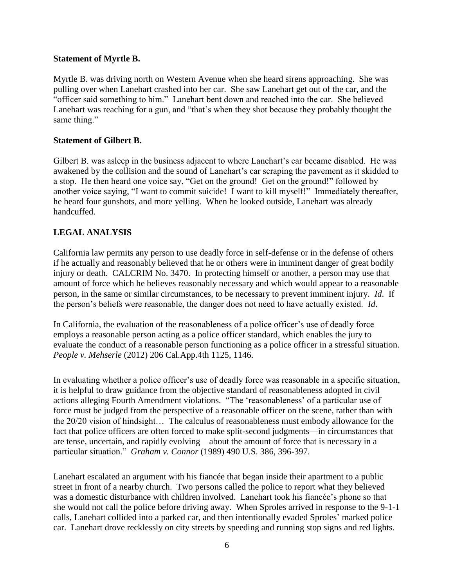#### **Statement of Myrtle B.**

Myrtle B. was driving north on Western Avenue when she heard sirens approaching. She was pulling over when Lanehart crashed into her car. She saw Lanehart get out of the car, and the "officer said something to him." Lanehart bent down and reached into the car. She believed Lanehart was reaching for a gun, and "that's when they shot because they probably thought the same thing."

#### **Statement of Gilbert B.**

Gilbert B. was asleep in the business adjacent to where Lanehart's car became disabled. He was awakened by the collision and the sound of Lanehart's car scraping the pavement as it skidded to a stop. He then heard one voice say, "Get on the ground! Get on the ground!" followed by another voice saying, "I want to commit suicide! I want to kill myself!" Immediately thereafter, he heard four gunshots, and more yelling. When he looked outside, Lanehart was already handcuffed.

#### **LEGAL ANALYSIS**

California law permits any person to use deadly force in self-defense or in the defense of others if he actually and reasonably believed that he or others were in imminent danger of great bodily injury or death. CALCRIM No. 3470. In protecting himself or another, a person may use that amount of force which he believes reasonably necessary and which would appear to a reasonable person, in the same or similar circumstances, to be necessary to prevent imminent injury. *Id*. If the person's beliefs were reasonable, the danger does not need to have actually existed. *Id*.

In California, the evaluation of the reasonableness of a police officer's use of deadly force employs a reasonable person acting as a police officer standard, which enables the jury to evaluate the conduct of a reasonable person functioning as a police officer in a stressful situation. *People v. Mehserle* (2012) 206 Cal.App.4th 1125, 1146.

In evaluating whether a police officer's use of deadly force was reasonable in a specific situation, it is helpful to draw guidance from the objective standard of reasonableness adopted in civil actions alleging Fourth Amendment violations. "The 'reasonableness' of a particular use of force must be judged from the perspective of a reasonable officer on the scene, rather than with the 20/20 vision of hindsight… The calculus of reasonableness must embody allowance for the fact that police officers are often forced to make split-second judgments—in circumstances that are tense, uncertain, and rapidly evolving—about the amount of force that is necessary in a particular situation." *Graham v. Connor* (1989) 490 U.S. 386, 396-397.

Lanehart escalated an argument with his fiancée that began inside their apartment to a public street in front of a nearby church. Two persons called the police to report what they believed was a domestic disturbance with children involved. Lanehart took his fiancée's phone so that she would not call the police before driving away. When Sproles arrived in response to the 9-1-1 calls, Lanehart collided into a parked car, and then intentionally evaded Sproles' marked police car. Lanehart drove recklessly on city streets by speeding and running stop signs and red lights.